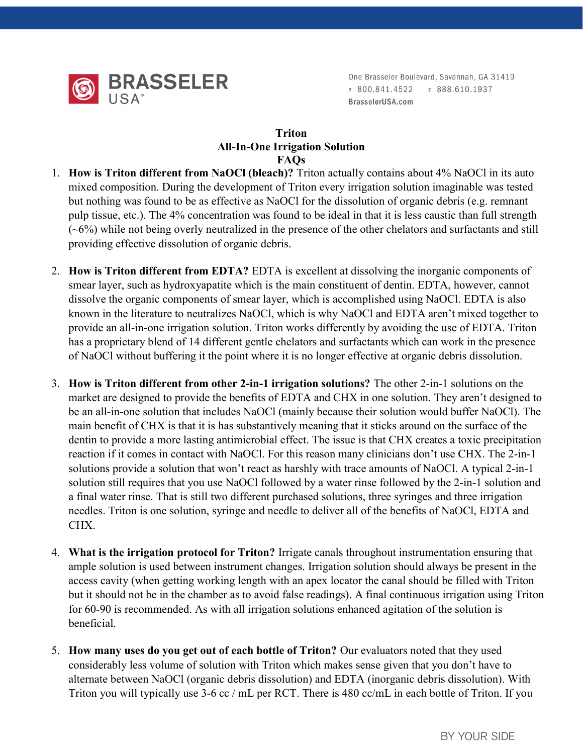

One Brasseler Boulevard, Savannah, GA 31419 P 800.841.4522 F 888.610.1937 BrasselerUSA.com

## Triton All-In-One Irrigation Solution FAQs

- 1. How is Triton different from NaOCl (bleach)? Triton actually contains about 4% NaOCl in its auto mixed composition. During the development of Triton every irrigation solution imaginable was tested but nothing was found to be as effective as NaOCl for the dissolution of organic debris (e.g. remnant pulp tissue, etc.). The 4% concentration was found to be ideal in that it is less caustic than full strength  $(-6%)$  while not being overly neutralized in the presence of the other chelators and surfactants and still providing effective dissolution of organic debris.
- 2. How is Triton different from EDTA? EDTA is excellent at dissolving the inorganic components of smear layer, such as hydroxyapatite which is the main constituent of dentin. EDTA, however, cannot dissolve the organic components of smear layer, which is accomplished using NaOCl. EDTA is also known in the literature to neutralizes NaOCl, which is why NaOCl and EDTA aren't mixed together to provide an all-in-one irrigation solution. Triton works differently by avoiding the use of EDTA. Triton has a proprietary blend of 14 different gentle chelators and surfactants which can work in the presence of NaOCl without buffering it the point where it is no longer effective at organic debris dissolution.
- 3. How is Triton different from other 2-in-1 irrigation solutions? The other 2-in-1 solutions on the market are designed to provide the benefits of EDTA and CHX in one solution. They aren't designed to be an all-in-one solution that includes NaOCl (mainly because their solution would buffer NaOCl). The main benefit of CHX is that it is has substantively meaning that it sticks around on the surface of the dentin to provide a more lasting antimicrobial effect. The issue is that CHX creates a toxic precipitation reaction if it comes in contact with NaOCl. For this reason many clinicians don't use CHX. The 2-in-1 solutions provide a solution that won't react as harshly with trace amounts of NaOCl. A typical 2-in-1 solution still requires that you use NaOCl followed by a water rinse followed by the 2-in-1 solution and a final water rinse. That is still two different purchased solutions, three syringes and three irrigation needles. Triton is one solution, syringe and needle to deliver all of the benefits of NaOCl, EDTA and CHX.
- 4. What is the irrigation protocol for Triton? Irrigate canals throughout instrumentation ensuring that ample solution is used between instrument changes. Irrigation solution should always be present in the access cavity (when getting working length with an apex locator the canal should be filled with Triton but it should not be in the chamber as to avoid false readings). A final continuous irrigation using Triton for 60-90 is recommended. As with all irrigation solutions enhanced agitation of the solution is beneficial.
- 5. How many uses do you get out of each bottle of Triton? Our evaluators noted that they used considerably less volume of solution with Triton which makes sense given that you don't have to alternate between NaOCl (organic debris dissolution) and EDTA (inorganic debris dissolution). With Triton you will typically use 3-6 cc / mL per RCT. There is 480 cc/mL in each bottle of Triton. If you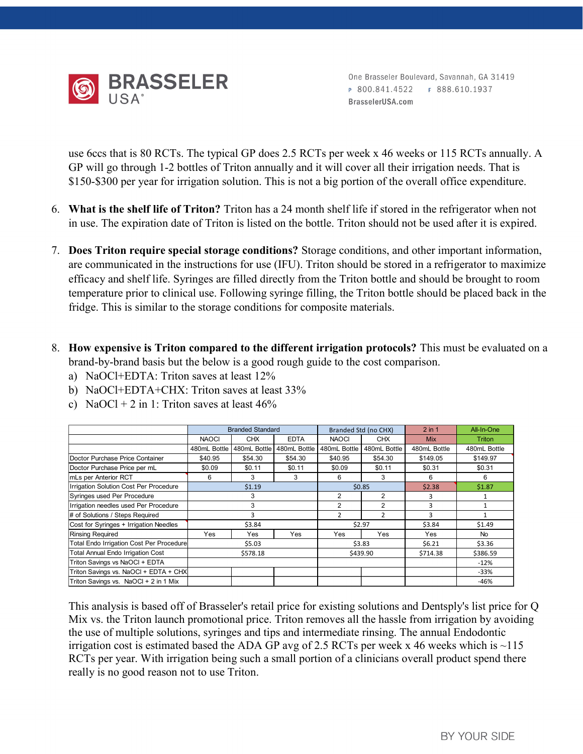

One Brasseler Boulevard, Savannah, GA 31419 P 800.841.4522 F 888.610.1937 BrasselerUSA.com

use 6ccs that is 80 RCTs. The typical GP does 2.5 RCTs per week x 46 weeks or 115 RCTs annually. A GP will go through 1-2 bottles of Triton annually and it will cover all their irrigation needs. That is \$150-\$300 per year for irrigation solution. This is not a big portion of the overall office expenditure.

- 6. What is the shelf life of Triton? Triton has a 24 month shelf life if stored in the refrigerator when not in use. The expiration date of Triton is listed on the bottle. Triton should not be used after it is expired.
- 7. Does Triton require special storage conditions? Storage conditions, and other important information, are communicated in the instructions for use (IFU). Triton should be stored in a refrigerator to maximize efficacy and shelf life. Syringes are filled directly from the Triton bottle and should be brought to room temperature prior to clinical use. Following syringe filling, the Triton bottle should be placed back in the fridge. This is similar to the storage conditions for composite materials. rall office expenditure.<br>
the refrigerator when not<br>
be used after it is expired.<br>
her important information,<br>
a refrigerator to maximize<br>
hould be brought to room<br>
nould be placed back in the<br>
This must be evaluated on a<br>
- 8. How expensive is Triton compared to the different irrigation protocols? This must be evaluated on a brand-by-brand basis but the below is a good rough guide to the cost comparison.
	- a) NaOCl+EDTA: Triton saves at least 12%
	- b) NaOCl+EDTA+CHX: Triton saves at least 33%
	- c) NaOCl + 2 in 1: Triton saves at least  $46\%$

| Does Triton require special storage conditions? Storage conditions, and other important information,         |              |                         |              |                |                      |                |                  |
|--------------------------------------------------------------------------------------------------------------|--------------|-------------------------|--------------|----------------|----------------------|----------------|------------------|
|                                                                                                              |              |                         |              |                |                      |                |                  |
| are communicated in the instructions for use (IFU). Triton should be stored in a refrigerator to maximize    |              |                         |              |                |                      |                |                  |
| efficacy and shelf life. Syringes are filled directly from the Triton bottle and should be brought to room   |              |                         |              |                |                      |                |                  |
| temperature prior to clinical use. Following syringe filling, the Triton bottle should be placed back in the |              |                         |              |                |                      |                |                  |
|                                                                                                              |              |                         |              |                |                      |                |                  |
| fridge. This is similar to the storage conditions for composite materials.                                   |              |                         |              |                |                      |                |                  |
|                                                                                                              |              |                         |              |                |                      |                |                  |
|                                                                                                              |              |                         |              |                |                      |                |                  |
| How expensive is Triton compared to the different irrigation protocols? This must be evaluated on a          |              |                         |              |                |                      |                |                  |
| brand-by-brand basis but the below is a good rough guide to the cost comparison.                             |              |                         |              |                |                      |                |                  |
|                                                                                                              |              |                         |              |                |                      |                |                  |
| a) NaOCl+EDTA: Triton saves at least 12%                                                                     |              |                         |              |                |                      |                |                  |
|                                                                                                              |              |                         |              |                |                      |                |                  |
| b) NaOCl+EDTA+CHX: Triton saves at least 33%                                                                 |              |                         |              |                |                      |                |                  |
|                                                                                                              |              |                         |              |                |                      |                |                  |
| c) NaOCl + 2 in 1: Triton saves at least $46\%$                                                              |              |                         |              |                |                      |                |                  |
|                                                                                                              |              |                         |              |                |                      |                |                  |
|                                                                                                              |              | <b>Branded Standard</b> |              |                | Branded Std (no CHX) | $2$ in 1       | All-In-One       |
|                                                                                                              | <b>NAOCI</b> | <b>CHX</b>              | <b>EDTA</b>  | <b>NAOCI</b>   | <b>CHX</b>           | <b>Mix</b>     | Triton           |
|                                                                                                              | 480mL Bottle | 480mL Bottle            | 480mL Bottle | 480mL Bottle   | 480mL Bottle         | 480mL Bottle   | 480mL Bottle     |
| Doctor Purchase Price Container                                                                              | \$40.95      | \$54.30                 | \$54.30      | \$40.95        | \$54.30              | \$149.05       | \$149.97         |
| Doctor Purchase Price per mL                                                                                 | \$0.09       | \$0.11                  | \$0.11       | \$0.09         | \$0.11               | \$0.31         | \$0.31           |
| mLs per Anterior RCT                                                                                         | 6            | 3                       | 3            | 6              | 3                    | 6              | 6                |
| Irrigation Solution Cost Per Procedure                                                                       |              | \$1.19                  |              |                | \$0.85               | \$2.38         | \$1.87           |
| Syringes used Per Procedure                                                                                  |              | 3                       |              | $\overline{2}$ | $\overline{2}$       | 3              | 1                |
| Irrigation needles used Per Procedure                                                                        |              | 3                       |              | $\overline{2}$ | $\overline{2}$       | $\overline{3}$ | $\mathbf{1}$     |
| # of Solutions / Steps Required                                                                              |              | 3                       |              | $\overline{2}$ | $\overline{2}$       | 3              | 1                |
| Cost for Syringes + Irrigation Needles                                                                       |              | \$3.84                  |              |                | \$2.97               | \$3.84         | \$1.49           |
| <b>Rinsing Required</b>                                                                                      | Yes          | Yes                     | Yes          | Yes            | Yes                  | Yes            | No               |
| Total Endo Irrigation Cost Per Procedure                                                                     |              | \$5.03                  |              |                | \$3.83               | \$6.21         | \$3.36           |
| <b>Total Annual Endo Irrigation Cost</b>                                                                     |              | \$578.18                |              |                | \$439.90             | \$714.38       | \$386.59         |
| Triton Savings vs NaOCI + EDTA                                                                               |              |                         |              |                |                      |                | $-12%$           |
| Triton Savings vs. NaOCI + EDTA + CHX<br>Triton Savings vs. NaOCI + 2 in 1 Mix                               |              |                         |              |                |                      |                | $-33%$<br>$-46%$ |

This analysis is based off of Brasseler's retail price for existing solutions and Dentsply's list price for Q Mix vs. the Triton launch promotional price. Triton removes all the hassle from irrigation by avoiding the use of multiple solutions, syringes and tips and intermediate rinsing. The annual Endodontic irrigation cost is estimated based the ADA GP avg of 2.5 RCTs per week x 46 weeks which is  $\sim$ 115 RCTs per year. With irrigation being such a small portion of a clinicians overall product spend there really is no good reason not to use Triton.